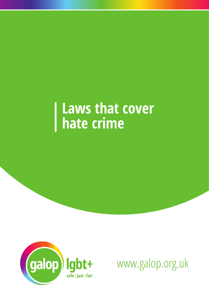# **Laws that cover hate crime**



www.galop.org.uk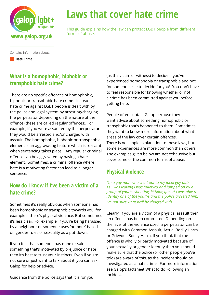

# **Laws that cover hate crime**

This guide explains how the law can protect LGBT people from different

**Hate Crime** 

### **What is a homophobic, biphobic or transphobic hate crime?**

There are no specific offences of homophobic, biphobic or transphobic hate crime. Instead, hate crime against LGBT people is dealt with by the police and legal system by arresting/charging the perpetrator depending on the nature of the offence (these are called regular offences). For example, if you were assaulted by the perpetrator, they would be arrested and/or charged with assault. The homophobic, biphobic or transphobic element is an aggravating feature which is relevant when sentencing takes place.. Any regular criminal offence can be aggravated by having a hate element. Sometimes, a criminal offence where hate is a motivating factor can lead to a longer sentence.

### **How do I know if I've been a victim of a hate crime?**

Sometimes it's really obvious when someone has been homophobic or transphobic towards you, for example if there's physical violence. But sometimes it's less clear. For example, if you're being harassed by a neighbour or someone uses 'humour' based on gender rules or sexuality as a put-down.

If you feel that someone has done or said something that's motivated by prejudice or hate then it's best to trust your instincts. Even if you're not sure or just want to talk about it, you can ask Galop for help or advice.

Guidance from the police says that it is for you

(as the victim or witness) to decide if you've experienced homophobia or transphobia and not for someone else to decide for you! You don't have to feel responsible for knowing whether or not a crime has been committed against you before getting help.

People often contact Galop because they want advice about something homophobic or transphobic that's happened to them. Sometimes they want to know more information about what areas of the law cover certain offences. There is no simple explanation to these laws, but some experiences are more common than others. The examples given below are not exhaustive but cover some of the common forms of abuse.

## **Physical Violence**

*I'm a gay man who went out to my local gay pub. As I was leaving I was followed and jumped on by a group of youths shouting 'f\*\*king queer! I was able to identify one of the youths and the police arrested him. I'm not sure what he'll be charged with.*

Clearly, if you are a victim of a physical assault then an offence has been committed. Depending on the level of the violence used, a perpetrator can be charged with Common Assault, Actual Bodily Harm or Grievous Bodily Harm. If you think that the offence is wholly or partly motivated because of your sexuality or gender identity then you should make sure that the police (or other people you've told) are aware of this, as the incident should be investigated as a hate crime. For more information see Galop's factsheet What to do Following an Incident.

Contains information about: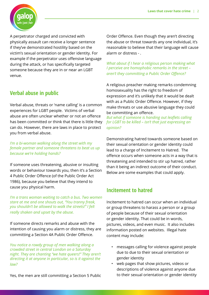

A perpetrator charged and convicted with physically assault can receive a longer sentence if they've demonstrated hostility based on the victim's sexual orientation or gender identity. For example if the perpetrator uses offensive language during the attack, or has specifically targeted someone because they are in or near an LGBT venue.

#### **Verbal abuse in public**

Verbal abuse, threats or 'name calling' is a common experiences for LGBT people. Victims of verbal abuse are often unclear whether or not an offence has been committed or think that there is little they can do. However, there are laws in place to protect you from verbal abuse.

*I'm a bi-woman walking along the street with my female partner and someone threatens to beat us up because we're holding hands?*

If someone uses threatening, abusive or insulting words or behaviour towards you, then it's a Section 4 Public Order Offence (of the Public Order Act 1986), because you believe that they intend to cause you physical harm.

*I'm a trans woman waiting to catch a bus. Two women stare at me and one shouts out, "You tranny freak, you shouldn't be allowed to walk the streets!" I felt really shaken and upset by the abuse.*

If someone directs remarks and abuse with the intention of causing you alarm or distress, they are committing a Section 4A Public Order Offence.

*You notice a rowdy group of men walking along a crowded street in central London on a Saturday night. They are chanting "we hate queers!" They aren't directing it at anyone in particular, so is it against the law?*

Yes, the men are still committing a Section 5 Public

Order Offence. Even though they aren't directing the abuse or threat towards any one individual, it's reasonable to believe that their language will cause alarm or distress - .

*What about if I hear a religious person making what I perceive are homophobic remarks in the street – aren't they committing a Public Order Offence?*

A religious preacher making remarks condemning homosexuality has the right to freedom of expression and it's unlikely that it would be dealt with as a Public Order Offence. However, if they make threats or use abusive language they could be committing an offence.

*But what if someone is handing out leaflets calling for LGBT to be killed – isn't that just expressing an opinion?*

Demonstrating hatred towards someone based on their sexual orientation or gender identity could lead to a charge of Incitement to Hatred. The offence occurs when someone acts in a way that is threatening and intended to stir up hatred, rather than it being an indirect outcome of their conduct. Below are some examples that could apply.

#### **Incitement to hatred**

Incitement to hatred can occur when an individual or group threatens to harass a person or a group of people because of their sexual orientation or gender identity. That could be in words, pictures, videos, and even music. It also includes information posted on websites. Illegal hate content may include:

- messages calling for violence against people due to due to their sexual orientation or gender identity
- web pages that show pictures, videos or descriptions of violence against anyone due to their sexual orientation or gender identity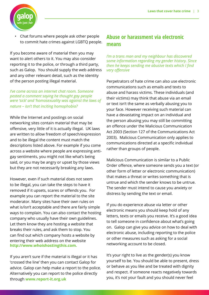

• Chat forums where people ask other people to commit hate crimes against LGBTQ people.

If you become aware of material then you may want to alert others to it. You may also consider reporting it to the police, or through a third party, such as Galop. You should supply the web address and any other relevant detail, such as the identity of the person posting illegal material.

*I've come across an internet chat room. Someone posted a comment saying he thought gay people were 'sick' and 'homosexuality was against the laws of nature – isn't that inciting homophobia?*

While the Internet and postings on social networking sites contain material that may be offensive, very little of it is actually illegal. UK laws are written to allow freedom of speech/expression and to be illegal the content must match the descriptions listed above. For example if you come across a website where people are expressing antigay sentiments, you might not like what's being said, or you may be angry or upset by those views but they are not necessarily breaking any laws.

However, even if such material does not seem to be illegal, you can take the steps to have it removed if it upsets, scares or offends you. For example you can report the material to the site moderator. Many sites have their own rules on what is/isn't acceptable and there are fairly simple ways to complain. You can also contact the hosting company who usually have their own guidelines. Let them know they are hosting a website that breaks their rules, and ask them to stop. You can find out which company hosts a website by entering their web address on the website **http://www.whoishostingthis.com.**

If you aren't sure if the material is illegal or it has 'crossed the line' then you can contact Galop for advice. Galop can help make a report to the police. Alternatively you can report to the police directly through **www.report-it.org.uk**

#### **Abuse or harassment via electronic means**

*I'm a trans man and my neighbour has discovered some information regarding my gender history. Since then he keeps sending me abusive texts which I find very offensive*

Perpetrators of hate crime can also use electronic communications such as emails and texts to abuse and harass victims. These individuals (and their victims) may think that abuse via an email or text isn't the same as verbally abusing you to your face. However receiving such material can have a devastating impact on an individual and the person abusing you may still be committing an offence under the Malicious Communication Act 2003 (Section 127 of the Communications Act 2003). Malicious Communication only applies to communications directed at a specific individual rather than groups of people.

Malicious Communication is similar to a Public Order offence, where someone sends you a text (or other form of letter or electronic communication) that makes a threat or writes something that is untrue and which the sender knows to be untrue. The sender must intend to cause you anxiety or distress by sending the text or email.

If you do experience abuse via letter or other electronic means you should keep hold of any letters, texts or emails you receive. It's a good idea to tell someone in confidence about what's going on. Galop can give you advice on how to deal with electronic abuse, including reporting to the police or other measures such as asking for a social networking account to be closed.

It's your right to live as the gender(s) you know yourself to be. You should be able to present, dress or behave as you like and be treated with dignity and respect. If someone reacts negatively towards you, it's not your fault and you should never feel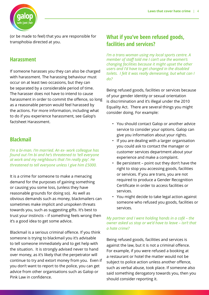

(or be made to feel) that you are responsible for transphobia directed at you.

#### **Harassment**

If someone harasses you they can also be charged with harassment. The harassing behaviour must occur on at least two occasions, but they can be separated by a considerable period of time. The harasser does not have to intend to cause harassment in order to commit the offence, so long as a reasonable person would feel harassed by the actions. For more information, including what to do if you experience harassment, see Galop's factsheet Harassment.

#### **Blackmail**

*I'm a bi-man. I'm married. An ex- work colleague has found out I'm bi and he's threatened to 'tell everyone at work and my neighbours that I'm really gay'. He threatened to tell everyone unless I give him £5000.*

It is a crime for someone to make a menacing demand for the purposes of gaining something or causing you some loss, (unless they have reasonable grounds for doing so). As well as obvious demands such as money, blackmailers can sometimes make implicit and unspoken threats towards you, such as suggesting gifts. It's best to trust your instincts – if something feels wrong then it's a good idea to get some advice.

Blackmail is a serious criminal offence. If you think someone is trying to blackmail you it's advisable to tell someone immediately and to get help with the situation. It is strongly advised never to hand over money, as it's likely that the perpetrator will continue to try and extort money from you. Even if you don't want to report to the police, you can get advice from other organisations such as Galop or Pink Law in confidence.

#### **What if you've been refused goods, facilities and services?**

*I'm a trans woman using my local sports centre. A member of staff told me I can't use the women's changing facilities because it might upset the other users and I'd have to get changed in the disabled toilets. I felt it was really demeaning, but what can I do?* 

Being refused goods, facilities or services because of your gender identity or sexual orientation is discrimination and it's illegal under the 2010 Equality Act. There are several things you might consider doing. For example:

- You should contact Galop or another advice service to consider your options. Galop can give you information about your rights.
- If you are dealing with a larger organisation you could ask to contact the manager or customer services department about your experience and make a complaint.
- Be persistent point out they don't have the right to stop you accessing goods, facilities or services. If you are trans, you are not required to produce a Gender Recognition Certificate in order to access facilities or services.
- You might decide to take legal action against someone who refused you goods, facilities or services.

#### *My partner and I were holding hands in a café – the owner asked us stop or we'd have to leave – isn't that a hate crime?*

Being refused goods, facilities and services is against the law, but it is not a criminal offence. For example, if you were refused a booking at a restaurant or hotel the matter would not be subject to police action unless another offence, such as verbal abuse, took place. If someone also said something derogatory towards you, then you should consider reporting it.